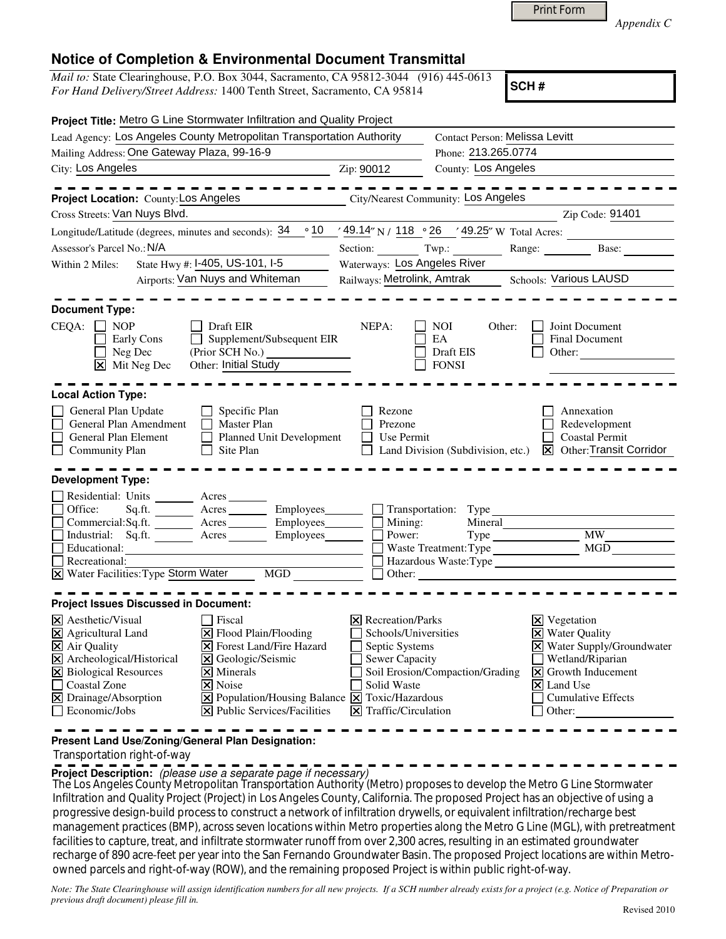*Appendix C* 

## **Notice of Completion & Environmental Document Transmittal**

*Mail to:* State Clearinghouse, P.O. Box 3044, Sacramento, CA 95812-3044 (916) 445-0613 *For Hand Delivery/Street Address:* 1400 Tenth Street, Sacramento, CA 95814

**SCH #**

| Project Title: Metro G Line Stormwater Infiltration and Quality Project                                                                                                                               |                                                    |                                                                             |                                                                                          |
|-------------------------------------------------------------------------------------------------------------------------------------------------------------------------------------------------------|----------------------------------------------------|-----------------------------------------------------------------------------|------------------------------------------------------------------------------------------|
| Lead Agency: Los Angeles County Metropolitan Transportation Authority                                                                                                                                 |                                                    | Contact Person: Melissa Levitt                                              |                                                                                          |
| Mailing Address: One Gateway Plaza, 99-16-9                                                                                                                                                           |                                                    | Phone: 213.265.0774                                                         |                                                                                          |
| City: Los Angeles                                                                                                                                                                                     | Zip: 90012                                         | County: Los Angeles                                                         |                                                                                          |
| Project Location: County: Los Angeles                                                                                                                                                                 |                                                    | City/Nearest Community: Los Angeles                                         |                                                                                          |
| Cross Streets: Van Nuys Blvd.                                                                                                                                                                         |                                                    |                                                                             | Zip Code: 91401                                                                          |
| Longitude/Latitude (degrees, minutes and seconds): $34 \cdot 10 \cdot 49.14$ N / $118 \cdot 26$ $\cdot 49.25$ W Total Acres:                                                                          |                                                    |                                                                             |                                                                                          |
| Assessor's Parcel No.: N/A                                                                                                                                                                            |                                                    |                                                                             | Range: Base:                                                                             |
| State Hwy #: I-405, US-101, I-5<br>Within 2 Miles:                                                                                                                                                    | Waterways: Los Angeles River                       |                                                                             |                                                                                          |
| Airports: Van Nuys and Whiteman                                                                                                                                                                       | Railways: Metrolink, Amtrak Schools: Various LAUSD |                                                                             |                                                                                          |
| <b>Document Type:</b><br>$CEQA: \Box NP$<br>Draft EIR<br>Supplement/Subsequent EIR<br>Early Cons<br>(Prior SCH No.)<br>Neg Dec<br>Other: Initial Study<br>$ \mathbf{\nabla} $ Mit Neg Dec             | NEPA:                                              | <b>NOI</b><br>Other:<br>EA<br>Draft EIS<br><b>FONSI</b>                     | Joint Document<br><b>Final Document</b><br>Other:                                        |
| <b>Local Action Type:</b>                                                                                                                                                                             |                                                    |                                                                             |                                                                                          |
| General Plan Update<br>$\Box$ Specific Plan<br>General Plan Amendment<br>$\Box$ Master Plan<br>General Plan Element<br>Planned Unit Development<br><b>Community Plan</b><br>Site Plan<br>$\mathsf{L}$ | Rezone<br>Prezone<br>Use Permit                    | Land Division (Subdivision, etc.)                                           | Annexation<br>Redevelopment<br><b>Coastal Permit</b><br><b>X</b> Other: Transit Corridor |
| <b>Development Type:</b>                                                                                                                                                                              |                                                    |                                                                             |                                                                                          |
| Residential: Units ________ Acres _______<br>Employees_______                                                                                                                                         |                                                    |                                                                             |                                                                                          |
| Sq.ft. Acres<br>Office:<br>Commercial:Sq.ft. Acres Employees                                                                                                                                          | Mining:                                            | Transportation: Type<br>Mineral                                             |                                                                                          |
| Industrial: Sq.ft. Acres<br>Employees                                                                                                                                                                 | Power:                                             |                                                                             | <b>MW</b>                                                                                |
| Educational:                                                                                                                                                                                          |                                                    | Waste Treatment: Type                                                       | MGD                                                                                      |
| Recreational:                                                                                                                                                                                         | Hazardous Waste: Type                              |                                                                             |                                                                                          |
| $\overline{X}$ Water Facilities: Type Storm Water<br>MGD                                                                                                                                              |                                                    | Other:                                                                      |                                                                                          |
| <b>Project Issues Discussed in Document:</b>                                                                                                                                                          |                                                    |                                                                             |                                                                                          |
| X Aesthetic/Visual<br>Fiscal                                                                                                                                                                          | $\times$ Recreation/Parks                          |                                                                             | <b>X</b> Vegetation                                                                      |
| X Flood Plain/Flooding<br>$\boxtimes$ Agricultural Land                                                                                                                                               | <b>X</b> Water Quality<br>Schools/Universities     |                                                                             |                                                                                          |
| X Air Quality<br><b>X</b> Forest Land/Fire Hazard                                                                                                                                                     | X Water Supply/Groundwater<br>Septic Systems       |                                                                             |                                                                                          |
| X Archeological/Historical<br>l×l<br>Geologic/Seismic                                                                                                                                                 | <b>Sewer Capacity</b><br>Wetland/Riparian          |                                                                             |                                                                                          |
| <b>X</b> Biological Resources<br>$\overline{\mathsf{x}}$ Minerals                                                                                                                                     |                                                    | Soil Erosion/Compaction/Grading<br>$\vert\mathbf{X}\vert$ Growth Inducement |                                                                                          |
| Coastal Zone<br>X Noise                                                                                                                                                                               |                                                    | Solid Waste<br>$\vert$ <b>X</b> Land Use                                    |                                                                                          |
| X Drainage/Absorption<br>X Population/Housing Balance X Toxic/Hazardous<br>Economic/Jobs<br>X Public Services/Facilities                                                                              |                                                    | <b>Cumulative Effects</b><br>$\Xi$ Traffic/Circulation<br>Other:            |                                                                                          |
|                                                                                                                                                                                                       |                                                    |                                                                             |                                                                                          |

**Present Land Use/Zoning/General Plan Designation:**

Transportation right-of-way

**Project Description:** (please use a separate page if necessary)

 The Los Angeles County Metropolitan Transportation Authority (Metro) proposes to develop the Metro G Line Stormwater Infiltration and Quality Project (Project) in Los Angeles County, California. The proposed Project has an objective of using a progressive design-build process to construct a network of infiltration drywells, or equivalent infiltration/recharge best management practices (BMP), across seven locations within Metro properties along the Metro G Line (MGL), with pretreatment facilities to capture, treat, and infiltrate stormwater runoff from over 2,300 acres, resulting in an estimated groundwater recharge of 890 acre‐feet per year into the San Fernando Groundwater Basin. The proposed Project locations are within Metroowned parcels and right-of-way (ROW), and the remaining proposed Project is within public right-of-way.

*Note: The State Clearinghouse will assign identification numbers for all new projects. If a SCH number already exists for a project (e.g. Notice of Preparation or previous draft document) please fill in.*